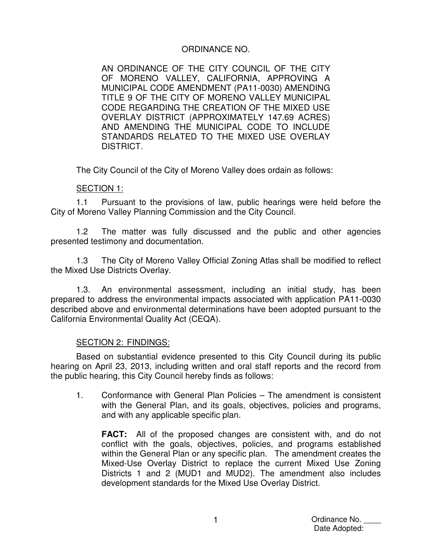## ORDINANCE NO.

AN ORDINANCE OF THE CITY COUNCIL OF THE CITY OF MORENO VALLEY, CALIFORNIA, APPROVING A MUNICIPAL CODE AMENDMENT (PA11-0030) AMENDING TITLE 9 OF THE CITY OF MORENO VALLEY MUNICIPAL CODE REGARDING THE CREATION OF THE MIXED USE OVERLAY DISTRICT (APPROXIMATELY 147.69 ACRES) AND AMENDING THE MUNICIPAL CODE TO INCLUDE STANDARDS RELATED TO THE MIXED USE OVERLAY DISTRICT.

The City Council of the City of Moreno Valley does ordain as follows:

#### SECTION 1:

1.1 Pursuant to the provisions of law, public hearings were held before the City of Moreno Valley Planning Commission and the City Council.

1.2 The matter was fully discussed and the public and other agencies presented testimony and documentation.

1.3 The City of Moreno Valley Official Zoning Atlas shall be modified to reflect the Mixed Use Districts Overlay.

1.3. An environmental assessment, including an initial study, has been prepared to address the environmental impacts associated with application PA11-0030 described above and environmental determinations have been adopted pursuant to the California Environmental Quality Act (CEQA).

#### SECTION 2: FINDINGS:

Based on substantial evidence presented to this City Council during its public hearing on April 23, 2013, including written and oral staff reports and the record from the public hearing, this City Council hereby finds as follows:

1. Conformance with General Plan Policies – The amendment is consistent with the General Plan, and its goals, objectives, policies and programs, and with any applicable specific plan.

**FACT:** All of the proposed changes are consistent with, and do not conflict with the goals, objectives, policies, and programs established within the General Plan or any specific plan. The amendment creates the Mixed-Use Overlay District to replace the current Mixed Use Zoning Districts 1 and 2 (MUD1 and MUD2). The amendment also includes development standards for the Mixed Use Overlay District.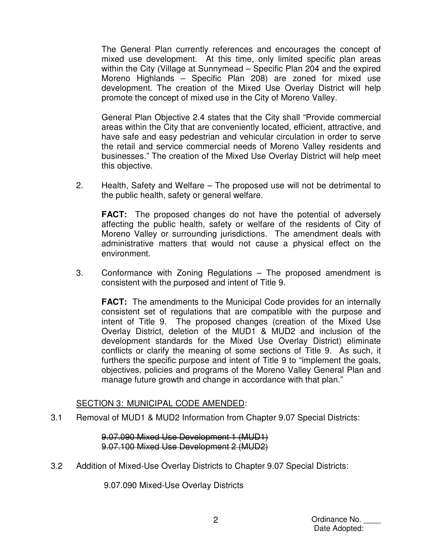The General Plan currently references and encourages the concept of mixed use development. At this time, only limited specific plan areas within the City (Village at Sunnymead – Specific Plan 204 and the expired Moreno Highlands – Specific Plan 208) are zoned for mixed use development. The creation of the Mixed Use Overlay District will help promote the concept of mixed use in the City of Moreno Valley.

General Plan Objective 2.4 states that the City shall "Provide commercial areas within the City that are conveniently located, efficient, attractive, and have safe and easy pedestrian and vehicular circulation in order to serve the retail and service commercial needs of Moreno Valley residents and businesses." The creation of the Mixed Use Overlay District will help meet this objective.

2. Health, Safety and Welfare – The proposed use will not be detrimental to the public health, safety or general welfare.

**FACT:** The proposed changes do not have the potential of adversely affecting the public health, safety or welfare of the residents of City of Moreno Valley or surrounding jurisdictions. The amendment deals with administrative matters that would not cause a physical effect on the environment.

3. Conformance with Zoning Regulations – The proposed amendment is consistent with the purposed and intent of Title 9.

**FACT:** The amendments to the Municipal Code provides for an internally consistent set of regulations that are compatible with the purpose and intent of Title 9. The proposed changes (creation of the Mixed Use Overlay District, deletion of the MUD1 & MUD2 and inclusion of the development standards for the Mixed Use Overlay District) eliminate conflicts or clarify the meaning of some sections of Title 9. As such, it furthers the specific purpose and intent of Title 9 to "implement the goals, objectives, policies and programs of the Moreno Valley General Plan and manage future growth and change in accordance with that plan."

#### SECTION 3: MUNICIPAL CODE AMENDED:

3.1 Removal of MUD1 & MUD2 Information from Chapter 9.07 Special Districts:

9.07.090 Mixed Use Development 1 (MUD1) 9.07.100 Mixed Use Development 2 (MUD2)

3.2 Addition of Mixed-Use Overlay Districts to Chapter 9.07 Special Districts:

9.07.090 Mixed-Use Overlay Districts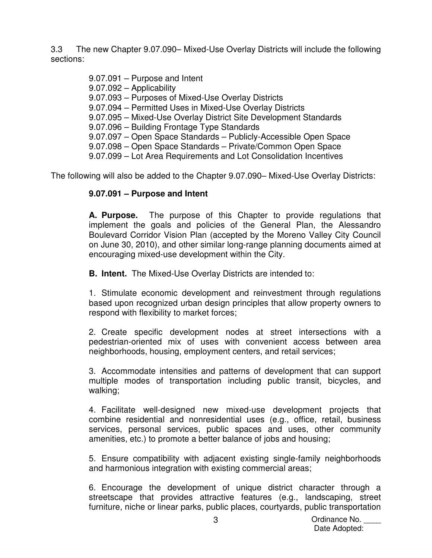3.3 The new Chapter 9.07.090– Mixed-Use Overlay Districts will include the following sections:

> 9.07.091 – Purpose and Intent 9.07.092 – Applicability 9.07.093 – Purposes of Mixed-Use Overlay Districts 9.07.094 – Permitted Uses in Mixed-Use Overlay Districts 9.07.095 – Mixed-Use Overlay District Site Development Standards 9.07.096 – Building Frontage Type Standards 9.07.097 – Open Space Standards – Publicly-Accessible Open Space 9.07.098 – Open Space Standards – Private/Common Open Space 9.07.099 – Lot Area Requirements and Lot Consolidation Incentives

The following will also be added to the Chapter 9.07.090– Mixed-Use Overlay Districts:

# **9.07.091 – Purpose and Intent**

**A. Purpose.** The purpose of this Chapter to provide regulations that implement the goals and policies of the General Plan, the Alessandro Boulevard Corridor Vision Plan (accepted by the Moreno Valley City Council on June 30, 2010), and other similar long-range planning documents aimed at encouraging mixed-use development within the City.

**B. Intent.** The Mixed-Use Overlay Districts are intended to:

1. Stimulate economic development and reinvestment through regulations based upon recognized urban design principles that allow property owners to respond with flexibility to market forces;

2. Create specific development nodes at street intersections with a pedestrian-oriented mix of uses with convenient access between area neighborhoods, housing, employment centers, and retail services;

3. Accommodate intensities and patterns of development that can support multiple modes of transportation including public transit, bicycles, and walking;

4. Facilitate well-designed new mixed-use development projects that combine residential and nonresidential uses (e.g., office, retail, business services, personal services, public spaces and uses, other community amenities, etc.) to promote a better balance of jobs and housing;

5. Ensure compatibility with adjacent existing single-family neighborhoods and harmonious integration with existing commercial areas;

6. Encourage the development of unique district character through a streetscape that provides attractive features (e.g., landscaping, street furniture, niche or linear parks, public places, courtyards, public transportation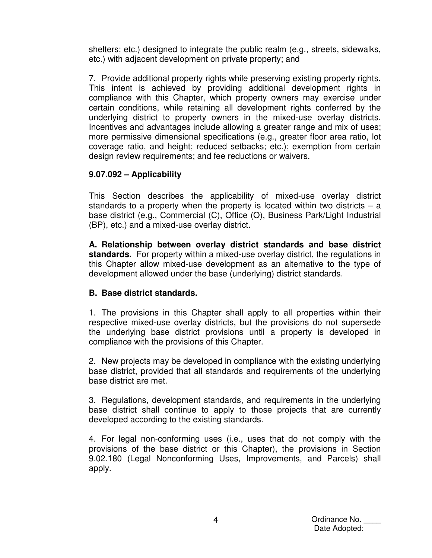shelters; etc.) designed to integrate the public realm (e.g., streets, sidewalks, etc.) with adjacent development on private property; and

7. Provide additional property rights while preserving existing property rights. This intent is achieved by providing additional development rights in compliance with this Chapter, which property owners may exercise under certain conditions, while retaining all development rights conferred by the underlying district to property owners in the mixed-use overlay districts. Incentives and advantages include allowing a greater range and mix of uses; more permissive dimensional specifications (e.g., greater floor area ratio, lot coverage ratio, and height; reduced setbacks; etc.); exemption from certain design review requirements; and fee reductions or waivers.

## **9.07.092 – Applicability**

This Section describes the applicability of mixed-use overlay district standards to a property when the property is located within two districts  $-$  a base district (e.g., Commercial (C), Office (O), Business Park/Light Industrial (BP), etc.) and a mixed-use overlay district.

**A. Relationship between overlay district standards and base district standards.** For property within a mixed-use overlay district, the regulations in this Chapter allow mixed-use development as an alternative to the type of development allowed under the base (underlying) district standards.

## **B. Base district standards.**

1. The provisions in this Chapter shall apply to all properties within their respective mixed-use overlay districts, but the provisions do not supersede the underlying base district provisions until a property is developed in compliance with the provisions of this Chapter.

2. New projects may be developed in compliance with the existing underlying base district, provided that all standards and requirements of the underlying base district are met.

3. Regulations, development standards, and requirements in the underlying base district shall continue to apply to those projects that are currently developed according to the existing standards.

4. For legal non-conforming uses (i.e., uses that do not comply with the provisions of the base district or this Chapter), the provisions in Section 9.02.180 (Legal Nonconforming Uses, Improvements, and Parcels) shall apply.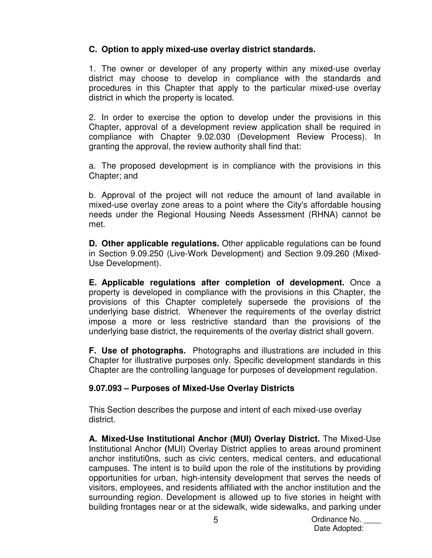# **C. Option to apply mixed-use overlay district standards.**

1. The owner or developer of any property within any mixed-use overlay district may choose to develop in compliance with the standards and procedures in this Chapter that apply to the particular mixed-use overlay district in which the property is located.

2. In order to exercise the option to develop under the provisions in this Chapter, approval of a development review application shall be required in compliance with Chapter 9.02.030 (Development Review Process). In granting the approval, the review authority shall find that:

a. The proposed development is in compliance with the provisions in this Chapter; and

b. Approval of the project will not reduce the amount of land available in mixed-use overlay zone areas to a point where the City's affordable housing needs under the Regional Housing Needs Assessment (RHNA) cannot be met.

**D. Other applicable regulations.** Other applicable regulations can be found in Section 9.09.250 (Live-Work Development) and Section 9.09.260 (Mixed-Use Development).

**E. Applicable regulations after completion of development.** Once a property is developed in compliance with the provisions in this Chapter, the provisions of this Chapter completely supersede the provisions of the underlying base district. Whenever the requirements of the overlay district impose a more or less restrictive standard than the provisions of the underlying base district, the requirements of the overlay district shall govern.

**F. Use of photographs.** Photographs and illustrations are included in this Chapter for illustrative purposes only. Specific development standards in this Chapter are the controlling language for purposes of development regulation.

## **9.07.093 – Purposes of Mixed-Use Overlay Districts**

This Section describes the purpose and intent of each mixed-use overlay district.

**A. Mixed-Use Institutional Anchor (MUI) Overlay District.** The Mixed-Use Institutional Anchor **(**MUI) Overlay District applies to areas around prominent anchor instituti0ns, such as civic centers, medical centers, and educational campuses. The intent is to build upon the role of the institutions by providing opportunities for urban, high-intensity development that serves the needs of visitors, employees, and residents affiliated with the anchor institution and the surrounding region. Development is allowed up to five stories in height with building frontages near or at the sidewalk, wide sidewalks, and parking under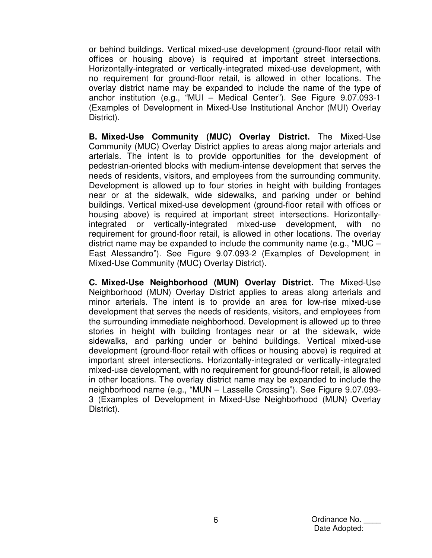or behind buildings. Vertical mixed-use development (ground-floor retail with offices or housing above) is required at important street intersections. Horizontally-integrated or vertically-integrated mixed-use development, with no requirement for ground-floor retail, is allowed in other locations. The overlay district name may be expanded to include the name of the type of anchor institution (e.g., "MUI – Medical Center"). See Figure 9.07.093-1 (Examples of Development in Mixed-Use Institutional Anchor (MUI) Overlay District).

**B. Mixed-Use Community (MUC) Overlay District.** The Mixed-Use Community (MUC) Overlay District applies to areas along major arterials and arterials. The intent is to provide opportunities for the development of pedestrian-oriented blocks with medium-intense development that serves the needs of residents, visitors, and employees from the surrounding community. Development is allowed up to four stories in height with building frontages near or at the sidewalk, wide sidewalks, and parking under or behind buildings. Vertical mixed-use development (ground-floor retail with offices or housing above) is required at important street intersections. Horizontallyintegrated or vertically-integrated mixed-use development, with no requirement for ground-floor retail, is allowed in other locations. The overlay district name may be expanded to include the community name (e.g., "MUC – East Alessandro"). See Figure 9.07.093-2 (Examples of Development in Mixed-Use Community (MUC) Overlay District).

**C. Mixed-Use Neighborhood (MUN) Overlay District.** The Mixed-Use Neighborhood (MUN) Overlay District applies to areas along arterials and minor arterials. The intent is to provide an area for low-rise mixed-use development that serves the needs of residents, visitors, and employees from the surrounding immediate neighborhood. Development is allowed up to three stories in height with building frontages near or at the sidewalk, wide sidewalks, and parking under or behind buildings. Vertical mixed-use development (ground-floor retail with offices or housing above) is required at important street intersections. Horizontally-integrated or vertically-integrated mixed-use development, with no requirement for ground-floor retail, is allowed in other locations. The overlay district name may be expanded to include the neighborhood name (e.g., "MUN – Lasselle Crossing"). See Figure 9.07.093- 3 (Examples of Development in Mixed-Use Neighborhood (MUN) Overlay District).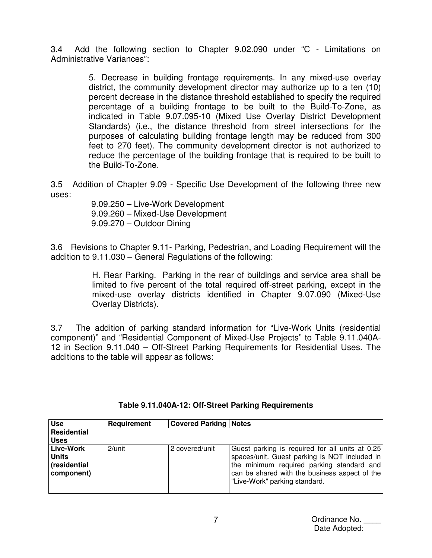3.4 Add the following section to Chapter 9.02.090 under "C - Limitations on Administrative Variances":

> 5. Decrease in building frontage requirements. In any mixed-use overlay district, the community development director may authorize up to a ten (10) percent decrease in the distance threshold established to specify the required percentage of a building frontage to be built to the Build-To-Zone, as indicated in Table 9.07.095-10 (Mixed Use Overlay District Development Standards) (i.e., the distance threshold from street intersections for the purposes of calculating building frontage length may be reduced from 300 feet to 270 feet). The community development director is not authorized to reduce the percentage of the building frontage that is required to be built to the Build-To-Zone.

3.5 Addition of Chapter 9.09 - Specific Use Development of the following three new uses:

> 9.09.250 – Live-Work Development 9.09.260 – Mixed-Use Development 9.09.270 – Outdoor Dining

3.6 Revisions to Chapter 9.11- Parking, Pedestrian, and Loading Requirement will the addition to 9.11.030 – General Regulations of the following:

> H. Rear Parking. Parking in the rear of buildings and service area shall be limited to five percent of the total required off-street parking, except in the mixed-use overlay districts identified in Chapter 9.07.090 (Mixed-Use Overlay Districts).

3.7 The addition of parking standard information for "Live-Work Units (residential component)" and "Residential Component of Mixed-Use Projects" to Table 9.11.040A-12 in Section 9.11.040 – Off-Street Parking Requirements for Residential Uses. The additions to the table will appear as follows:

| <b>Use</b>                                              | Requirement | <b>Covered Parking   Notes</b> |                                                                                                                                                                                                                                 |
|---------------------------------------------------------|-------------|--------------------------------|---------------------------------------------------------------------------------------------------------------------------------------------------------------------------------------------------------------------------------|
| Residential                                             |             |                                |                                                                                                                                                                                                                                 |
| <b>Uses</b>                                             |             |                                |                                                                                                                                                                                                                                 |
| Live-Work<br><b>Units</b><br>(residential<br>component) | $2$ /unit   | 2 covered/unit                 | Guest parking is required for all units at 0.25<br>spaces/unit. Guest parking is NOT included in<br>the minimum required parking standard and<br>can be shared with the business aspect of the<br>"Live-Work" parking standard. |

## **Table 9.11.040A-12: Off-Street Parking Requirements**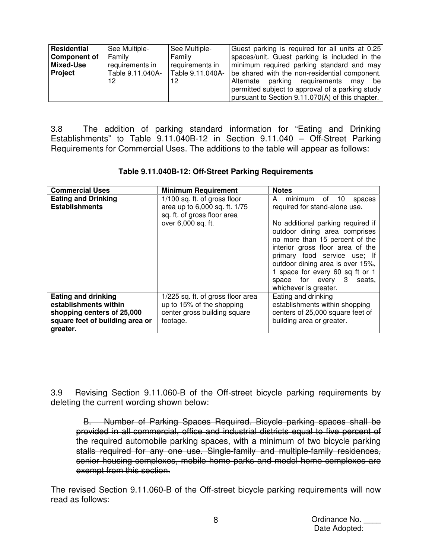| Residential    | See Multiple-    | See Multiple-    | Guest parking is required for all units at 0.25  |
|----------------|------------------|------------------|--------------------------------------------------|
| Component of   | Family           | Family           | spaces/unit. Guest parking is included in the    |
| Mixed-Use      | requirements in  | requirements in  | minimum required parking standard and may        |
| <b>Project</b> | Table 9.11.040A- | Table 9.11.040A- | be shared with the non-residential component.    |
|                | 12               | 12               | Alternate parking requirements may be            |
|                |                  |                  | permitted subject to approval of a parking study |
|                |                  |                  | pursuant to Section 9.11.070(A) of this chapter. |

3.8 The addition of parking standard information for "Eating and Drinking Establishments" to Table 9.11.040B-12 in Section 9.11.040 – Off-Street Parking Requirements for Commercial Uses. The additions to the table will appear as follows:

| <b>Commercial Uses</b>                                                                                                           | <b>Minimum Requirement</b>                                                                                 | <b>Notes</b>                                                                                                                                                                                                                                                                                            |
|----------------------------------------------------------------------------------------------------------------------------------|------------------------------------------------------------------------------------------------------------|---------------------------------------------------------------------------------------------------------------------------------------------------------------------------------------------------------------------------------------------------------------------------------------------------------|
| <b>Eating and Drinking</b><br><b>Establishments</b>                                                                              | 1/100 sq. ft. of gross floor<br>area up to 6,000 sq. ft. 1/75<br>sq. ft. of gross floor area               | A<br>minimum of 10<br>spaces<br>required for stand-alone use.                                                                                                                                                                                                                                           |
|                                                                                                                                  | over 6,000 sq. ft.                                                                                         | No additional parking required if<br>outdoor dining area comprises<br>no more than 15 percent of the<br>interior gross floor area of the<br>primary food service use; If<br>outdoor dining area is over 15%,<br>1 space for every 60 sq ft or 1<br>space for every 3<br>seats.<br>whichever is greater. |
| <b>Eating and drinking</b><br>establishments within<br>shopping centers of 25,000<br>square feet of building area or<br>greater. | 1/225 sq. ft. of gross floor area<br>up to 15% of the shopping<br>center gross building square<br>footage. | Eating and drinking<br>establishments within shopping<br>centers of 25,000 square feet of<br>building area or greater.                                                                                                                                                                                  |

3.9 Revising Section 9.11.060-B of the Off-street bicycle parking requirements by deleting the current wording shown below:

 B. Number of Parking Spaces Required. Bicycle parking spaces shall be provided in all commercial, office and industrial districts equal to five percent of the required automobile parking spaces, with a minimum of two bicycle parking stalls required for any one use. Single-family and multiple-family residences, senior housing complexes, mobile home parks and model home complexes are exempt from this section.

The revised Section 9.11.060-B of the Off-street bicycle parking requirements will now read as follows: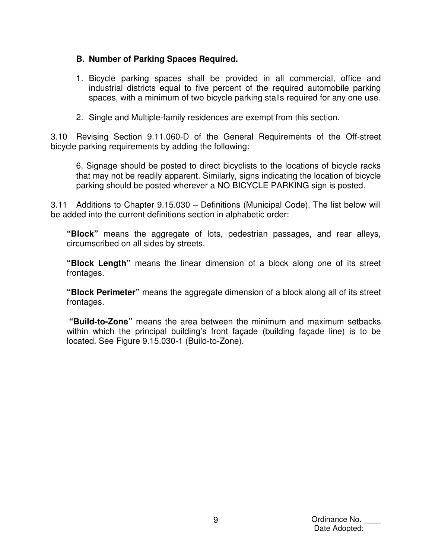## **B. Number of Parking Spaces Required.**

- 1. Bicycle parking spaces shall be provided in all commercial, office and industrial districts equal to five percent of the required automobile parking spaces, with a minimum of two bicycle parking stalls required for any one use.
- 2. Single and Multiple-family residences are exempt from this section.

3.10 Revising Section 9.11.060-D of the General Requirements of the Off-street bicycle parking requirements by adding the following:

6. Signage should be posted to direct bicyclists to the locations of bicycle racks that may not be readily apparent. Similarly, signs indicating the location of bicycle parking should be posted wherever a NO BICYCLE PARKING sign is posted.

3.11 Additions to Chapter 9.15.030 – Definitions (Municipal Code). The list below will be added into the current definitions section in alphabetic order:

**"Block"** means the aggregate of lots, pedestrian passages, and rear alleys, circumscribed on all sides by streets.

**"Block Length"** means the linear dimension of a block along one of its street frontages.

**"Block Perimeter"** means the aggregate dimension of a block along all of its street frontages.

**"Build**‐**to-Zone"** means the area between the minimum and maximum setbacks within which the principal building's front façade (building façade line) is to be located. See Figure 9.15.030-1 (Build-to-Zone).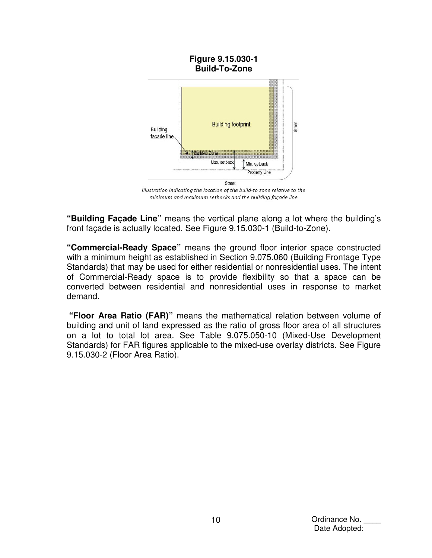

Illustration indicating the location of the build-to zone relative to the minimum and maximum setbacks and the building façade line

**"Building Façade Line"** means the vertical plane along a lot where the building's front façade is actually located. See Figure 9.15.030-1 (Build-to-Zone).

**"Commercial-Ready Space"** means the ground floor interior space constructed with a minimum height as established in Section 9.075.060 (Building Frontage Type Standards) that may be used for either residential or nonresidential uses. The intent of Commercial‐Ready space is to provide flexibility so that a space can be converted between residential and nonresidential uses in response to market demand.

 **"Floor Area Ratio (FAR)"** means the mathematical relation between volume of building and unit of land expressed as the ratio of gross floor area of all structures on a lot to total lot area. See Table 9.075.050-10 (Mixed-Use Development Standards) for FAR figures applicable to the mixed-use overlay districts. See Figure 9.15.030-2 (Floor Area Ratio).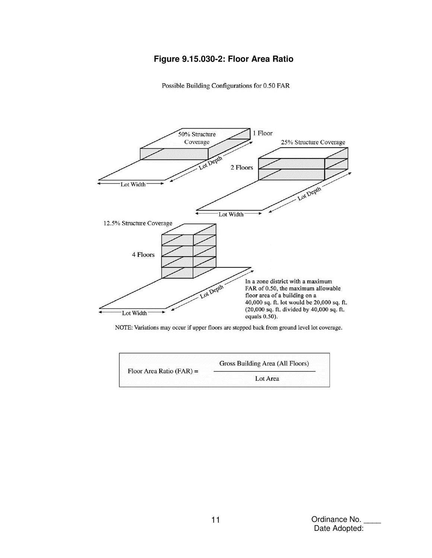## **Figure 9.15.030-2: Floor Area Ratio**

Possible Building Configurations for 0.50 FAR





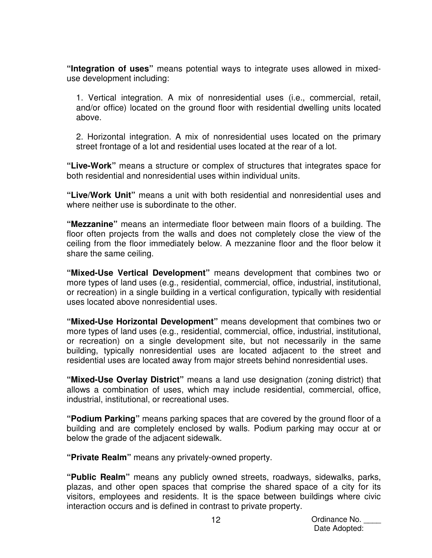**"Integration of uses"** means potential ways to integrate uses allowed in mixeduse development including:

1. Vertical integration. A mix of nonresidential uses (i.e., commercial, retail, and/or office) located on the ground floor with residential dwelling units located above.

2. Horizontal integration. A mix of nonresidential uses located on the primary street frontage of a lot and residential uses located at the rear of a lot.

**"Live-Work"** means a structure or complex of structures that integrates space for both residential and nonresidential uses within individual units.

**"Live/Work Unit"** means a unit with both residential and nonresidential uses and where neither use is subordinate to the other.

**"Mezzanine"** means an intermediate floor between main floors of a building. The floor often projects from the walls and does not completely close the view of the ceiling from the floor immediately below. A mezzanine floor and the floor below it share the same ceiling.

**"Mixed-Use Vertical Development"** means development that combines two or more types of land uses (e.g., residential, commercial, office, industrial, institutional, or recreation) in a single building in a vertical configuration, typically with residential uses located above nonresidential uses.

**"Mixed-Use Horizontal Development"** means development that combines two or more types of land uses (e.g., residential, commercial, office, industrial, institutional, or recreation) on a single development site, but not necessarily in the same building, typically nonresidential uses are located adjacent to the street and residential uses are located away from major streets behind nonresidential uses.

**"Mixed-Use Overlay District"** means a land use designation (zoning district) that allows a combination of uses, which may include residential, commercial, office, industrial, institutional, or recreational uses.

**"Podium Parking"** means parking spaces that are covered by the ground floor of a building and are completely enclosed by walls. Podium parking may occur at or below the grade of the adjacent sidewalk.

**"Private Realm"** means any privately-owned property.

**"Public Realm"** means any publicly owned streets, roadways, sidewalks, parks, plazas, and other open spaces that comprise the shared space of a city for its visitors, employees and residents. It is the space between buildings where civic interaction occurs and is defined in contrast to private property.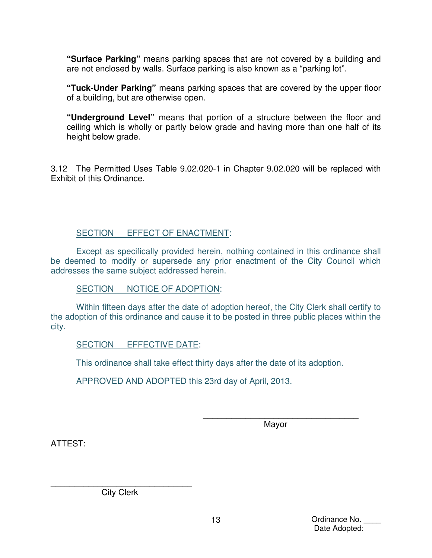**"Surface Parking"** means parking spaces that are not covered by a building and are not enclosed by walls. Surface parking is also known as a "parking lot".

**"Tuck-Under Parking"** means parking spaces that are covered by the upper floor of a building, but are otherwise open.

**"Underground Level"** means that portion of a structure between the floor and ceiling which is wholly or partly below grade and having more than one half of its height below grade.

3.12 The Permitted Uses Table 9.02.020-1 in Chapter 9.02.020 will be replaced with Exhibit of this Ordinance.

#### SECTION EFFECT OF ENACTMENT:

Except as specifically provided herein, nothing contained in this ordinance shall be deemed to modify or supersede any prior enactment of the City Council which addresses the same subject addressed herein.

SECTION NOTICE OF ADOPTION:

Within fifteen days after the date of adoption hereof, the City Clerk shall certify to the adoption of this ordinance and cause it to be posted in three public places within the city.

## SECTION EFFECTIVE DATE:

This ordinance shall take effect thirty days after the date of its adoption.

APPROVED AND ADOPTED this 23rd day of April, 2013.

 $\overline{\phantom{a}}$  ,  $\overline{\phantom{a}}$  ,  $\overline{\phantom{a}}$  ,  $\overline{\phantom{a}}$  ,  $\overline{\phantom{a}}$  ,  $\overline{\phantom{a}}$  ,  $\overline{\phantom{a}}$  ,  $\overline{\phantom{a}}$  ,  $\overline{\phantom{a}}$  ,  $\overline{\phantom{a}}$  ,  $\overline{\phantom{a}}$  ,  $\overline{\phantom{a}}$  ,  $\overline{\phantom{a}}$  ,  $\overline{\phantom{a}}$  ,  $\overline{\phantom{a}}$  ,  $\overline{\phantom{a}}$ distribution of the contract of the Mayor Mayor (1990) and the Mayor (1990) and the Mayor (1990) and the Mayor

ATTEST:

\_\_\_\_\_\_\_\_\_\_\_\_\_\_\_\_\_\_\_\_\_\_\_\_\_\_\_\_\_\_ City Clerk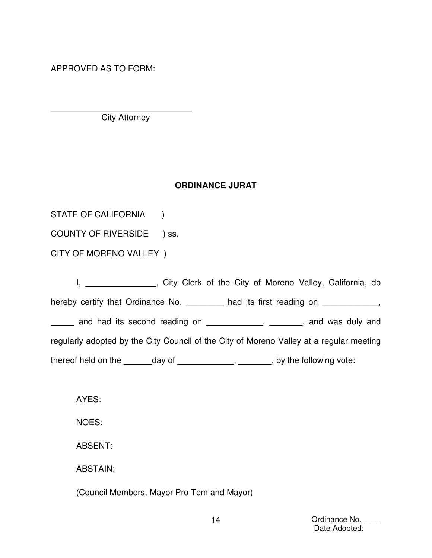APPROVED AS TO FORM:

\_\_\_\_\_\_\_\_\_\_\_\_\_\_\_\_\_\_\_\_\_\_\_\_\_\_\_\_\_\_ City Attorney

#### **ORDINANCE JURAT**

STATE OF CALIFORNIA )

COUNTY OF RIVERSIDE ) ss.

CITY OF MORENO VALLEY )

I, city Clerk of the City of Moreno Valley, California, do hereby certify that Ordinance No. <br>  $\blacksquare$  had its first reading on  $\blacksquare$ , \_\_\_\_\_ and had its second reading on \_\_\_\_\_\_\_\_\_\_\_\_, \_\_\_\_\_\_\_, and was duly and regularly adopted by the City Council of the City of Moreno Valley at a regular meeting thereof held on the \_\_\_\_\_\_day of \_\_\_\_\_\_\_\_\_\_\_, \_\_\_\_\_\_, by the following vote:

AYES:

NOES:

ABSENT:

ABSTAIN:

(Council Members, Mayor Pro Tem and Mayor)